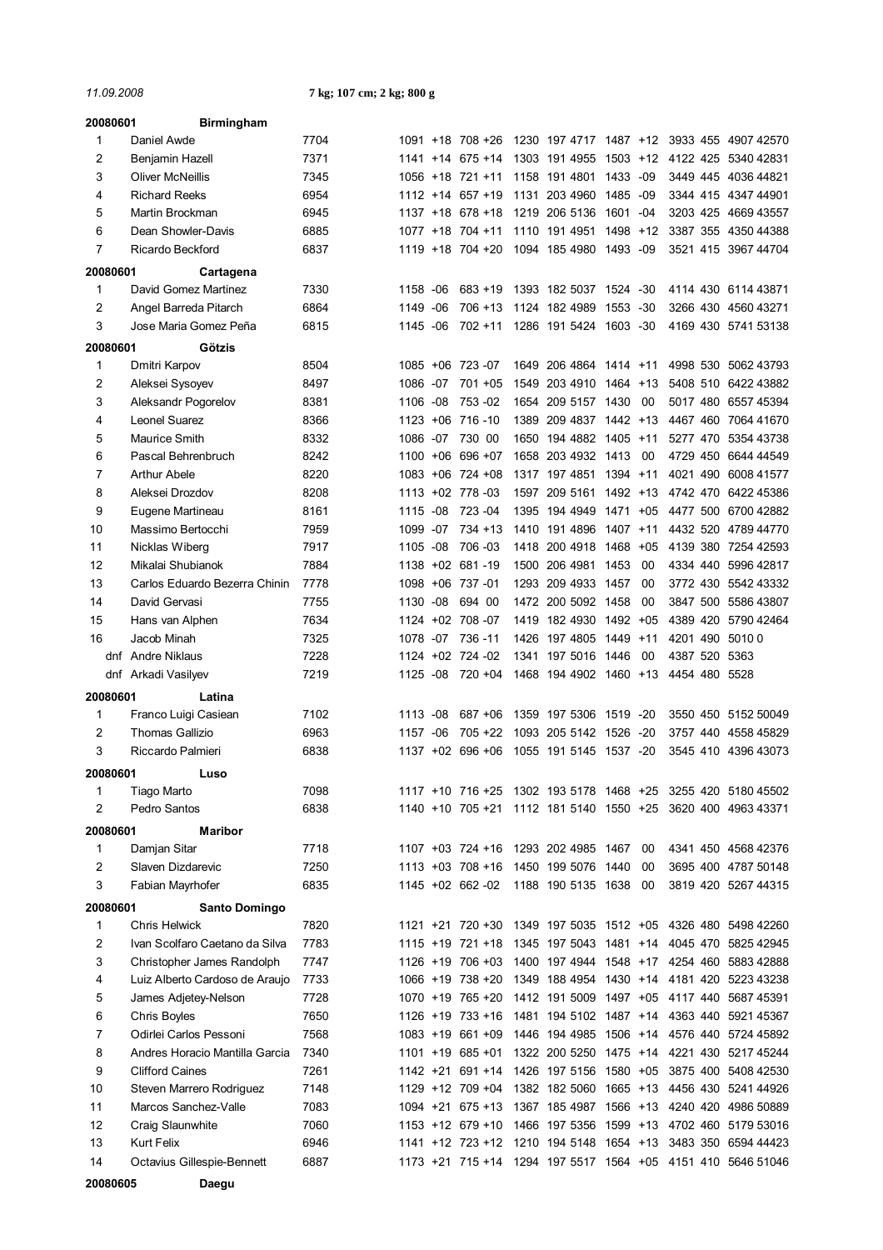*11.09.2008* **7 kg; 107 cm; 2 kg; 800 g**

| 20080601 | <b>Birmingham</b>              |      |             |       |                      |      |                                         |             |       |               |                                                             |
|----------|--------------------------------|------|-------------|-------|----------------------|------|-----------------------------------------|-------------|-------|---------------|-------------------------------------------------------------|
| 1        | Daniel Awde                    | 7704 |             |       | 1091 +18 708 +26     |      |                                         |             |       |               | 1230 197 4717 1487 +12 3933 455 4907 42570                  |
| 2        | Benjamin Hazell                | 7371 |             |       | $1141 + 14$ 675 + 14 |      | 1303 191 4955                           | $1503 + 12$ |       |               | 4122 425 5340 42831                                         |
| 3        | <b>Oliver McNeillis</b>        | 7345 |             |       | 1056 +18 721 +11     |      | 1158 191 4801                           | 1433        | -09   |               | 3449 445 4036 44821                                         |
| 4        | <b>Richard Reeks</b>           | 6954 |             |       | $1112 + 14657 + 19$  | 1131 | 203 4960                                | 1485        | -09   |               | 3344 415 4347 44901                                         |
| 5        | Martin Brockman                | 6945 |             |       | $1137 + 18$ 678 + 18 | 1219 | 206 5136                                | 1601        | $-04$ |               | 3203 425 4669 43557                                         |
| 6        | Dean Showler-Davis             | 6885 |             |       | 1077 +18 704 +11     | 1110 | 191 4951                                | 1498        | $+12$ |               | 3387 355 4350 44388                                         |
| 7        | Ricardo Beckford               | 6837 |             |       | 1119 +18 704 +20     |      | 1094 185 4980                           | 1493 -09    |       |               | 3521 415 3967 44704                                         |
| 20080601 | Cartagena                      |      |             |       |                      |      |                                         |             |       |               |                                                             |
| 1        | David Gomez Martinez           | 7330 | 1158 - 06   |       | $683 + 19$           |      | 1393 182 5037 1524 -30                  |             |       |               | 4114 430 6114 43871                                         |
| 2        | Angel Barreda Pitarch          | 6864 | 1149 - 06   |       | $706 + 13$           |      | 1124 182 4989                           | 1553 -30    |       |               | 3266 430 4560 43271                                         |
| 3        | Jose Maria Gomez Peña          | 6815 | 1145 -06    |       | $702 + 11$           |      | 1286 191 5424                           | 1603 -30    |       |               | 4169 430 5741 53138                                         |
| 20080601 | Götzis                         |      |             |       |                      |      |                                         |             |       |               |                                                             |
| 1        | Dmitri Karpov                  | 8504 | $1085 + 06$ |       | 723 -07              | 1649 | 206 4864                                | 1414 +11    |       | 4998 530      | 5062 43793                                                  |
| 2        | Aleksei Sysoyev                | 8497 | 1086 -07    |       | $701 + 05$           | 1549 | 203 4910                                | 1464 +13    |       |               | 5408 510 6422 43882                                         |
| 3        | Aleksandr Pogorelov            | 8381 | 1106 -08    |       | 753 - 02             | 1654 | 209 5157 1430                           |             | 00    | 5017 480      | 6557 45394                                                  |
| 4        | Leonel Suarez                  | 8366 | $1123 + 06$ |       | 716 - 10             | 1389 | 209 4837                                | $1442 + 13$ |       |               | 4467 460 7064 41670                                         |
| 5        | Maurice Smith                  | 8332 | 1086 -07    |       | 730 00               | 1650 | 194 4882 1405 +11                       |             |       |               | 5277 470 5354 43738                                         |
| 6        | Pascal Behrenbruch             | 8242 |             |       | 1100 +06 696 +07     |      | 1658 203 4932                           | 1413        | 00    |               | 4729 450 6644 44549                                         |
| 7        | <b>Arthur Abele</b>            | 8220 |             |       | 1083 +06 724 +08     | 1317 | 197 4851                                | 1394 +11    |       |               | 4021 490 6008 41577                                         |
| 8        | Aleksei Drozdov                | 8208 |             |       | 1113 +02 778 -03     | 1597 | 209 5161                                | 1492 +13    |       |               | 4742 470 6422 45386                                         |
| 9        | Eugene Martineau               | 8161 | 1115        | -08   | 723 - 04             | 1395 | 194 4949                                | 1471        | $+05$ |               | 4477 500 6700 42882                                         |
| 10       | Massimo Bertocchi              | 7959 | 1099        | $-07$ | $734 + 13$           | 1410 | 191 4896                                | 1407        | $+11$ |               | 4432 520 4789 44770                                         |
| 11       | Nicklas Wiberg                 | 7917 | 1105 -08    |       | 706 - 03             | 1418 | 200 4918                                | 1468        | $+05$ |               | 4139 380 7254 42593                                         |
| 12       | Mikalai Shubianok              | 7884 |             |       | 1138 +02 681 -19     | 1500 | 206 4981                                | 1453        | 00    | 4334 440      | 5996 42817                                                  |
| 13       | Carlos Eduardo Bezerra Chinin  | 7778 |             |       | 1098 +06 737 -01     | 1293 | 209 4933 1457                           |             | 00    | 3772 430      | 5542 43332                                                  |
| 14       | David Gervasi                  | 7755 | 1130 -08    |       | 694 00               | 1472 | 200 5092 1458                           |             | 00    | 3847 500      | 5586 43807                                                  |
| 15       | Hans van Alphen                | 7634 |             |       | 1124 +02 708 -07     | 1419 | 182 4930 1492 +05                       |             |       | 4389 420      | 5790 42464                                                  |
| 16       | Jacob Minah                    | 7325 | 1078        | -07   | 736 - 11             | 1426 | 197 4805                                | 1449        | $+11$ |               | 4201 490 5010 0                                             |
|          | dnf Andre Niklaus              | 7228 |             |       | 1124 +02 724 -02     | 1341 | 197 5016 1446                           |             | 00    | 4387 520 5363 |                                                             |
|          | dnf Arkadi Vasilyev            | 7219 | 1125 -08    |       | 720 +04              |      | 1468 194 4902 1460 +13                  |             |       | 4454 480 5528 |                                                             |
| 20080601 | Latina                         |      |             |       |                      |      |                                         |             |       |               |                                                             |
| 1        | Franco Luigi Casiean           | 7102 | 1113        | -08   | 687 +06              |      | 1359 197 5306 1519 -20                  |             |       |               | 3550 450 5152 50049                                         |
| 2        | <b>Thomas Gallizio</b>         | 6963 | 1157        | $-06$ | $705 + 22$           |      | 1093 205 5142 1526 -20                  |             |       |               | 3757 440 4558 45829                                         |
| 3        | Riccardo Palmieri              | 6838 | 1137        | $+02$ | 696 +06              |      | 1055 191 5145                           | 1537 -20    |       | 3545 410      | 4396 43073                                                  |
| 20080601 | Luso                           |      |             |       |                      |      |                                         |             |       |               |                                                             |
| 1        | Tiago Marto                    | 7098 |             |       |                      |      |                                         |             |       |               | 1117 +10 716 +25 1302 193 5178 1468 +25 3255 420 5180 45502 |
| 2        | Pedro Santos                   | 6838 |             |       |                      |      | 1140 +10 705 +21 1112 181 5140 1550 +25 |             |       |               | 3620 400 4963 43371                                         |
| 20080601 | <b>Maribor</b>                 |      |             |       |                      |      |                                         |             |       |               |                                                             |
| 1        | Damjan Sitar                   | 7718 |             |       |                      |      | 1107 +03 724 +16 1293 202 4985 1467     |             | 00    |               | 4341 450 4568 42376                                         |
| 2        | Slaven Dizdarevic              | 7250 |             |       |                      |      | 1113 +03 708 +16 1450 199 5076 1440     |             | 00    |               | 3695 400 4787 50148                                         |
| 3        | Fabian Mayrhofer               | 6835 |             |       | 1145 +02 662 -02     |      | 1188 190 5135 1638                      |             | 00    |               | 3819 420 5267 44315                                         |
| 20080601 | Santo Domingo                  |      |             |       |                      |      |                                         |             |       |               |                                                             |
| 1        | Chris Helwick                  | 7820 |             |       |                      |      |                                         |             |       |               | 1121 +21 720 +30 1349 197 5035 1512 +05 4326 480 5498 42260 |
| 2        | Ivan Scolfaro Caetano da Silva | 7783 |             |       | 1115 +19 721 +18     |      | 1345 197 5043 1481 +14                  |             |       |               | 4045 470 5825 42945                                         |
| 3        | Christopher James Randolph     | 7747 |             |       | 1126 +19 706 +03     |      |                                         |             |       |               | 1400 197 4944 1548 +17 4254 460 5883 42888                  |
| 4        | Luiz Alberto Cardoso de Araujo | 7733 |             |       | 1066 +19 738 +20     |      |                                         |             |       |               | 1349 188 4954 1430 +14 4181 420 5223 43238                  |
| 5        | James Adjetey-Nelson           | 7728 |             |       | 1070 +19 765 +20     |      |                                         |             |       |               | 1412 191 5009 1497 +05 4117 440 5687 45391                  |
| 6        | Chris Boyles                   | 7650 |             |       |                      |      |                                         |             |       |               | 1126 +19 733 +16 1481 194 5102 1487 +14 4363 440 5921 45367 |
| 7        | Odirlei Carlos Pessoni         | 7568 |             |       | $1083 + 19661 + 09$  |      |                                         |             |       |               | 1446 194 4985 1506 +14 4576 440 5724 45892                  |
| 8        | Andres Horacio Mantilla Garcia | 7340 |             |       | 1101 +19 685 +01     |      |                                         |             |       |               | 1322 200 5250 1475 +14 4221 430 5217 45244                  |
| 9        | <b>Clifford Caines</b>         | 7261 |             |       |                      |      | 1142 +21 691 +14 1426 197 5156 1580 +05 |             |       |               | 3875 400 5408 42530                                         |
| 10       | Steven Marrero Rodriguez       | 7148 |             |       |                      |      |                                         |             |       |               | 1129 +12 709 +04 1382 182 5060 1665 +13 4456 430 5241 44926 |
| 11       | Marcos Sanchez-Valle           | 7083 |             |       |                      |      |                                         |             |       |               | 1094 +21 675 +13 1367 185 4987 1566 +13 4240 420 4986 50889 |
| 12       | Craig Slaunwhite               | 7060 |             |       |                      |      |                                         |             |       |               | 1153 +12 679 +10 1466 197 5356 1599 +13 4702 460 5179 53016 |
| 13       | Kurt Felix                     | 6946 |             |       |                      |      |                                         |             |       |               | 1141 +12 723 +12 1210 194 5148 1654 +13 3483 350 6594 44423 |
| 14       | Octavius Gillespie-Bennett     | 6887 |             |       |                      |      |                                         |             |       |               | 1173 +21 715 +14 1294 197 5517 1564 +05 4151 410 5646 51046 |
| 20080605 | Daegu                          |      |             |       |                      |      |                                         |             |       |               |                                                             |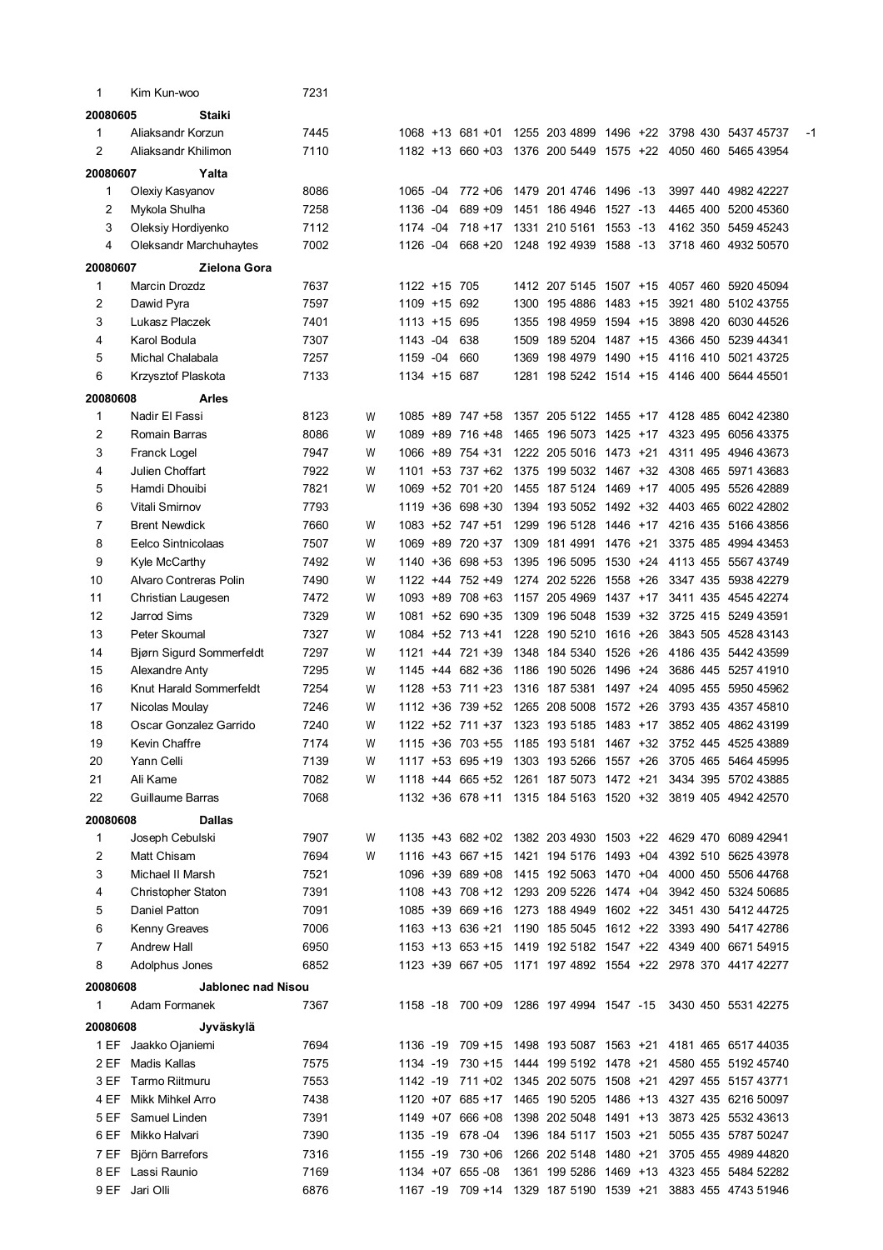| 1        | Kim Kun-woo               | 7231 |   |              |                      |      |                                         |          |  |                                                             |    |
|----------|---------------------------|------|---|--------------|----------------------|------|-----------------------------------------|----------|--|-------------------------------------------------------------|----|
| 20080605 | Staiki                    |      |   |              |                      |      |                                         |          |  |                                                             |    |
| 1        | Aliaksandr Korzun         | 7445 |   |              | 1068 +13 681 +01     |      |                                         |          |  | 1255 203 4899 1496 +22 3798 430 5437 45737                  | -1 |
| 2        | Aliaksandr Khilimon       | 7110 |   | $1182 + 13$  | 660 +03              |      |                                         |          |  | 1376 200 5449 1575 +22 4050 460 5465 43954                  |    |
| 20080607 | Yalta                     |      |   |              |                      |      |                                         |          |  |                                                             |    |
| 1        | Olexiy Kasyanov           | 8086 |   | 1065 -04     | 772 +06              |      | 1479 201 4746 1496 -13                  |          |  | 3997 440 4982 42227                                         |    |
| 2        | Mykola Shulha             | 7258 |   | 1136 -04     | 689 + 09             |      | 1451 186 4946 1527 -13                  |          |  | 4465 400 5200 45360                                         |    |
| 3        | Oleksiy Hordiyenko        | 7112 |   | 1174 -04     | $718 + 17$           |      | 1331 210 5161                           | 1553 -13 |  | 4162 350 5459 45243                                         |    |
| 4        | Oleksandr Marchuhaytes    | 7002 |   | 1126 -04     | $668 + 20$           |      | 1248 192 4939 1588 -13                  |          |  | 3718 460 4932 50570                                         |    |
| 20080607 | Zielona Gora              |      |   |              |                      |      |                                         |          |  |                                                             |    |
| 1        | <b>Marcin Drozdz</b>      | 7637 |   | 1122 +15 705 |                      |      |                                         |          |  | 1412 207 5145 1507 +15 4057 460 5920 45094                  |    |
| 2        | Dawid Pyra                | 7597 |   | 1109 +15 692 |                      |      | 1300 195 4886 1483 +15                  |          |  | 3921 480 5102 43755                                         |    |
| 3        | Lukasz Placzek            | 7401 |   | 1113 +15 695 |                      | 1355 | 198 4959 1594 +15                       |          |  | 3898 420 6030 44526                                         |    |
| 4        | Karol Bodula              | 7307 |   | 1143 -04     | 638                  |      | 1509 189 5204 1487 +15                  |          |  | 4366 450 5239 44341                                         |    |
| 5        | Michal Chalabala          | 7257 |   | 1159 -04     | 660                  |      | 1369 198 4979 1490 +15                  |          |  | 4116 410 5021 43725                                         |    |
| 6        | Krzysztof Plaskota        | 7133 |   | 1134 +15 687 |                      |      |                                         |          |  | 1281 198 5242 1514 +15 4146 400 5644 45501                  |    |
| 20080608 | <b>Arles</b>              |      |   |              |                      |      |                                         |          |  |                                                             |    |
| 1        | Nadir El Fassi            | 8123 | W |              | 1085 +89 747 +58     |      |                                         |          |  | 1357 205 5122 1455 +17 4128 485 6042 42380                  |    |
| 2        | Romain Barras             | 8086 | W |              | 1089 +89 716 +48     |      | 1465 196 5073 1425 +17                  |          |  | 4323 495 6056 43375                                         |    |
| 3        | Franck Logel              | 7947 | W |              | 1066 +89 754 +31     |      | 1222 205 5016 1473 +21                  |          |  | 4311 495 4946 43673                                         |    |
| 4        | Julien Choffart           | 7922 | W |              | 1101 +53 737 +62     |      |                                         |          |  | 1375 199 5032 1467 +32 4308 465 5971 43683                  |    |
| 5        | Hamdi Dhouibi             | 7821 | W |              | 1069 +52 701 +20     |      | 1455 187 5124 1469 +17                  |          |  | 4005 495 5526 42889                                         |    |
| 6        | Vitali Smirnov            | 7793 |   |              | 1119 +36 698 +30     |      |                                         |          |  | 1394 193 5052 1492 +32 4403 465 6022 42802                  |    |
| 7        | <b>Brent Newdick</b>      | 7660 | W |              | 1083 +52 747 +51     |      | 1299 196 5128 1446 +17                  |          |  | 4216 435 5166 43856                                         |    |
| 8        | Eelco Sintnicolaas        | 7507 | W |              | 1069 +89 720 +37     |      | 1309 181 4991 1476 +21                  |          |  | 3375 485 4994 43453                                         |    |
| 9        | Kyle McCarthy             | 7492 | W |              | 1140 +36 698 +53     |      | 1395 196 5095 1530 +24                  |          |  | 4113 455 5567 43749                                         |    |
| 10       | Alvaro Contreras Polin    | 7490 | W |              | 1122 +44 752 +49     |      | 1274 202 5226 1558 +26                  |          |  | 3347 435 5938 42279                                         |    |
| 11       | Christian Laugesen        | 7472 | W |              | 1093 +89 708 +63     |      | 1157 205 4969 1437 +17                  |          |  | 3411 435 4545 42274                                         |    |
| 12       | Jarrod Sims               | 7329 | W |              | 1081 +52 690 +35     |      | 1309 196 5048 1539 +32                  |          |  | 3725 415 5249 43591                                         |    |
| 13       | Peter Skoumal             | 7327 | W |              | 1084 +52 713 +41     |      | 1228 190 5210 1616 +26                  |          |  | 3843 505 4528 43143                                         |    |
| 14       | Bjørn Sigurd Sommerfeldt  | 7297 | W |              | 1121 +44 721 +39     |      | 1348 184 5340 1526 +26                  |          |  | 4186 435 5442 43599                                         |    |
| 15       | Alexandre Anty            | 7295 | W |              | 1145 +44 682 +36     |      | 1186 190 5026                           | 1496 +24 |  | 3686 445 5257 41910                                         |    |
| 16       | Knut Harald Sommerfeldt   | 7254 | W |              | $1128 + 53$ 711 + 23 |      | 1316 187 5381                           | 1497 +24 |  | 4095 455 5950 45962                                         |    |
| 17       | Nicolas Moulay            | 7246 | W |              | 1112 +36 739 +52     |      | 1265 208 5008                           | 1572 +26 |  | 3793 435 4357 45810                                         |    |
| 18       | Oscar Gonzalez Garrido    | 7240 | W |              | 1122 +52 711 +37     |      | 1323 193 5185 1483 +17                  |          |  | 3852 405 4862 43199                                         |    |
| 19       | Kevin Chaffre             | 7174 | W |              |                      |      |                                         |          |  | 1115 +36 703 +55 1185 193 5181 1467 +32 3752 445 4525 43889 |    |
| 20       | Yann Celli                | 7139 | W |              |                      |      |                                         |          |  | 1117 +53 695 +19 1303 193 5266 1557 +26 3705 465 5464 45995 |    |
| 21       | Ali Kame                  | 7082 | W |              |                      |      | 1118 +44 665 +52 1261 187 5073 1472 +21 |          |  | 3434 395 5702 43885                                         |    |
| 22       | Guillaume Barras          | 7068 |   |              |                      |      |                                         |          |  | 1132 +36 678 +11 1315 184 5163 1520 +32 3819 405 4942 42570 |    |
| 20080608 | <b>Dallas</b>             |      |   |              |                      |      |                                         |          |  |                                                             |    |
| 1        | Joseph Cebulski           | 7907 | W |              |                      |      |                                         |          |  | 1135 +43 682 +02 1382 203 4930 1503 +22 4629 470 6089 42941 |    |
| 2        | Matt Chisam               | 7694 | W |              |                      |      |                                         |          |  | 1116 +43 667 +15 1421 194 5176 1493 +04 4392 510 5625 43978 |    |
| 3        | Michael II Marsh          | 7521 |   |              | 1096 +39 689 +08     |      | 1415 192 5063 1470 +04                  |          |  | 4000 450 5506 44768                                         |    |
| 4        | Christopher Staton        | 7391 |   |              |                      |      | 1108 +43 708 +12 1293 209 5226 1474 +04 |          |  | 3942 450 5324 50685                                         |    |
| 5        | Daniel Patton             | 7091 |   |              |                      |      |                                         |          |  | 1085 +39 669 +16 1273 188 4949 1602 +22 3451 430 5412 44725 |    |
| 6        | Kenny Greaves             | 7006 |   |              |                      |      |                                         |          |  | 1163 +13 636 +21 1190 185 5045 1612 +22 3393 490 5417 42786 |    |
| 7        | <b>Andrew Hall</b>        | 6950 |   |              |                      |      |                                         |          |  | 1153 +13 653 +15 1419 192 5182 1547 +22 4349 400 6671 54915 |    |
| 8        | Adolphus Jones            | 6852 |   |              |                      |      |                                         |          |  | 1123 +39 667 +05 1171 197 4892 1554 +22 2978 370 4417 42277 |    |
| 20080608 | <b>Jablonec nad Nisou</b> |      |   |              |                      |      |                                         |          |  |                                                             |    |
| 1        | Adam Formanek             | 7367 |   |              |                      |      |                                         |          |  | 1158 -18 700 +09 1286 197 4994 1547 -15 3430 450 5531 42275 |    |
| 20080608 | Jyväskylä                 |      |   |              |                      |      |                                         |          |  |                                                             |    |
|          | 1 EF Jaakko Ojaniemi      | 7694 |   |              |                      |      |                                         |          |  | 1136 -19 709 +15 1498 193 5087 1563 +21 4181 465 6517 44035 |    |
| 2 EF     | <b>Madis Kallas</b>       | 7575 |   | 1134 -19     | 730 +15              |      | 1444 199 5192 1478 +21                  |          |  | 4580 455 5192 45740                                         |    |
| 3 EF     | Tarmo Riitmuru            | 7553 |   |              |                      |      | 1142 -19 711 +02 1345 202 5075 1508 +21 |          |  | 4297 455 5157 43771                                         |    |
| 4 EF     | Mikk Mihkel Arro          | 7438 |   |              | $1120 +07$ 685 +17   |      |                                         |          |  | 1465 190 5205 1486 +13 4327 435 6216 50097                  |    |
| 5 EF     | Samuel Linden             | 7391 |   |              | 1149 +07 666 +08     |      | 1398 202 5048 1491 +13                  |          |  | 3873 425 5532 43613                                         |    |
| 6 EF     | Mikko Halvari             | 7390 |   |              | 1135 -19 678 -04     |      | 1396 184 5117 1503 +21                  |          |  | 5055 435 5787 50247                                         |    |
| 7 EF     | <b>Björn Barrefors</b>    | 7316 |   |              | 1155 -19 730 +06     |      | 1266 202 5148 1480 +21                  |          |  | 3705 455 4989 44820                                         |    |
|          | 8 EF Lassi Raunio         | 7169 |   |              | 1134 +07 655 -08     |      |                                         |          |  | 1361 199 5286 1469 +13 4323 455 5484 52282                  |    |
|          | 9 EF Jari Olli            | 6876 |   |              |                      |      |                                         |          |  | 1167 -19 709 +14 1329 187 5190 1539 +21 3883 455 4743 51946 |    |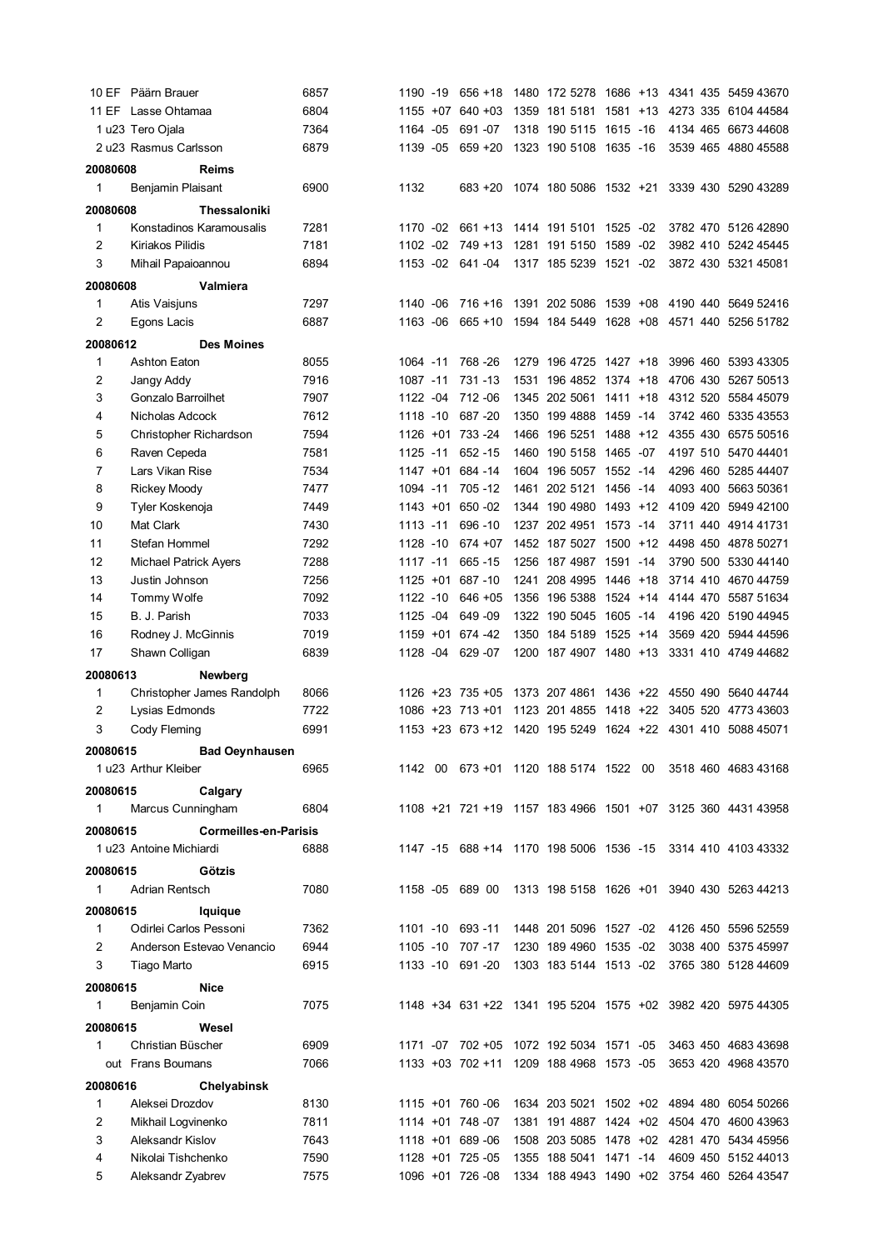|              | 10 EF Päärn Brauer           | 6857 | 1190 -19    |     | $656 + 18$       |      |                                         |          |       |  | 1480 172 5278 1686 +13 4341 435 5459 43670                  |
|--------------|------------------------------|------|-------------|-----|------------------|------|-----------------------------------------|----------|-------|--|-------------------------------------------------------------|
|              | 11 EF Lasse Ohtamaa          | 6804 | 1155 +07    |     | $640 + 03$       |      | 1359 181 5181 1581 +13                  |          |       |  | 4273 335 6104 44584                                         |
|              | 1 u23 Tero Ojala             | 7364 | 1164        | -05 | 691 - 07         |      | 1318 190 5115 1615 -16                  |          |       |  | 4134 465 6673 44608                                         |
|              | 2 u23 Rasmus Carlsson        | 6879 | 1139 -05    |     | $659 + 20$       |      | 1323 190 5108 1635 -16                  |          |       |  | 3539 465 4880 45588                                         |
| 20080608     | <b>Reims</b>                 |      |             |     |                  |      |                                         |          |       |  |                                                             |
| 1            | Benjamin Plaisant            | 6900 | 1132        |     | $683 + 20$       |      |                                         |          |       |  | 1074 180 5086 1532 +21 3339 430 5290 43289                  |
|              |                              |      |             |     |                  |      |                                         |          |       |  |                                                             |
| 20080608     | Thessaloniki                 |      |             |     |                  |      |                                         |          |       |  |                                                             |
| 1            | Konstadinos Karamousalis     | 7281 | 1170 -02    |     | 661 +13          |      | 1414 191 5101 1525 -02                  |          |       |  | 3782 470 5126 42890                                         |
| 2            | Kiriakos Pilidis             | 7181 | 1102 -02    |     | 749 +13          |      | 1281 191 5150                           | 1589     | $-02$ |  | 3982 410 5242 45445                                         |
| 3            | Mihail Papaioannou           | 6894 | 1153 -02    |     | 641 - 04         |      | 1317 185 5239 1521 -02                  |          |       |  | 3872 430 5321 45081                                         |
| 20080608     | Valmiera                     |      |             |     |                  |      |                                         |          |       |  |                                                             |
| 1            | Atis Vaisjuns                | 7297 | 1140 -06    |     | $716 + 16$       |      | 1391 202 5086 1539 +08                  |          |       |  | 4190 440 5649 52416                                         |
| 2            | Egons Lacis                  | 6887 | 1163 -06    |     | $665 + 10$       |      |                                         |          |       |  | 1594 184 5449 1628 +08 4571 440 5256 51782                  |
| 20080612     | <b>Des Moines</b>            |      |             |     |                  |      |                                         |          |       |  |                                                             |
| 1            | <b>Ashton Eaton</b>          | 8055 | 1064 -11    |     | 768 - 26         |      | 1279 196 4725 1427 +18                  |          |       |  | 3996 460 5393 43305                                         |
| 2            | Jangy Addy                   | 7916 | 1087 -11    |     | 731 - 13         | 1531 | 196 4852 1374 +18                       |          |       |  | 4706 430 5267 50513                                         |
| 3            | Gonzalo Barroilhet           | 7907 | 1122 -04    |     | 712 - 06         |      | 1345 202 5061 1411 +18                  |          |       |  | 4312 520 5584 45079                                         |
| 4            | Nicholas Adcock              | 7612 | 1118 -10    |     | 687 - 20         |      | 1350 199 4888 1459 -14                  |          |       |  | 3742 460 5335 43553                                         |
| 5            | Christopher Richardson       | 7594 |             |     | 1126 +01 733 -24 |      | 1466 196 5251 1488 +12                  |          |       |  | 4355 430 6575 50516                                         |
| 6            | Raven Cepeda                 | 7581 | 1125 -11    |     | 652 - 15         | 1460 | 190 5158 1465 -07                       |          |       |  | 4197 510 5470 44401                                         |
| 7            | Lars Vikan Rise              | 7534 | 1147 +01    |     | 684 - 14         | 1604 | 196 5057 1552 -14                       |          |       |  | 4296 460 5285 44407                                         |
| 8            |                              | 7477 | 1094 -11    |     | 705 - 12         |      | 1461 202 5121 1456 -14                  |          |       |  | 4093 400 5663 50361                                         |
|              | <b>Rickey Moody</b>          |      |             |     |                  |      |                                         |          |       |  |                                                             |
| 9            | Tyler Koskenoja              | 7449 | $1143 + 01$ |     | 650 - 02         |      | 1344 190 4980 1493 +12                  |          |       |  | 4109 420 5949 42100                                         |
| 10           | Mat Clark                    | 7430 | 1113 -11    |     | 696 - 10         |      | 1237 202 4951 1573 -14                  |          |       |  | 3711 440 4914 41731                                         |
| 11           | Stefan Hommel                | 7292 | 1128 -10    |     | 674 + 07         |      | 1452 187 5027 1500 +12                  |          |       |  | 4498 450 4878 50271                                         |
| 12           | <b>Michael Patrick Ayers</b> | 7288 | 1117 -11    |     | 665 - 15         |      | 1256 187 4987 1591 -14                  |          |       |  | 3790 500 5330 44140                                         |
| 13           | Justin Johnson               | 7256 | $1125 + 01$ |     | 687 - 10         | 1241 | 208 4995                                | 1446 +18 |       |  | 3714 410 4670 44759                                         |
| 14           | Tommy Wolfe                  | 7092 | 1122 -10    |     | $646 + 05$       | 1356 | 196 5388                                | 1524 +14 |       |  | 4144 470 5587 51634                                         |
| 15           | B. J. Parish                 | 7033 | 1125 -04    |     | 649 - 09         |      | 1322 190 5045                           | 1605 -14 |       |  | 4196 420 5190 44945                                         |
| 16           | Rodney J. McGinnis           | 7019 | 1159 +01    |     | 674 - 42         |      | 1350 184 5189 1525 +14                  |          |       |  | 3569 420 5944 44596                                         |
| 17           | Shawn Colligan               | 6839 | 1128        | -04 | 629 - 07         |      | 1200 187 4907 1480 +13                  |          |       |  | 3331 410 4749 44682                                         |
| 20080613     | Newberg                      |      |             |     |                  |      |                                         |          |       |  |                                                             |
| 1            | Christopher James Randolph   | 8066 |             |     | 1126 +23 735 +05 |      | 1373 207 4861 1436 +22                  |          |       |  | 4550 490 5640 44744                                         |
| 2            | Lysias Edmonds               | 7722 |             |     | 1086 +23 713 +01 |      | 1123 201 4855                           | 1418 +22 |       |  | 3405 520 4773 43603                                         |
| 3            | Cody Fleming                 | 6991 |             |     |                  |      |                                         |          |       |  | 1153 +23 673 +12 1420 195 5249 1624 +22 4301 410 5088 45071 |
| 20080615     | <b>Bad Oeynhausen</b>        |      |             |     |                  |      |                                         |          |       |  |                                                             |
|              | 1 u23 Arthur Kleiber         | 6965 |             |     |                  |      |                                         |          |       |  | 1142 00 673 +01 1120 188 5174 1522 00 3518 460 4683 43168   |
|              |                              |      |             |     |                  |      |                                         |          |       |  |                                                             |
| 20080615     | Calgary                      |      |             |     |                  |      |                                         |          |       |  |                                                             |
| 1            | Marcus Cunningham            | 6804 |             |     |                  |      |                                         |          |       |  | 1108 +21 721 +19 1157 183 4966 1501 +07 3125 360 4431 43958 |
| 20080615     | <b>Cormeilles-en-Parisis</b> |      |             |     |                  |      |                                         |          |       |  |                                                             |
|              | 1 u23 Antoine Michiardi      | 6888 |             |     |                  |      |                                         |          |       |  | 1147 -15 688 +14 1170 198 5006 1536 -15 3314 410 4103 43332 |
| 20080615     | Götzis                       |      |             |     |                  |      |                                         |          |       |  |                                                             |
| 1            | Adrian Rentsch               | 7080 |             |     | 1158 -05 689 00  |      |                                         |          |       |  | 1313 198 5158 1626 +01 3940 430 5263 44213                  |
| 20080615     | lquique                      |      |             |     |                  |      |                                         |          |       |  |                                                             |
| 1            | Odirlei Carlos Pessoni       | 7362 |             |     | 1101 -10 693 -11 |      |                                         |          |       |  | 1448 201 5096 1527 -02 4126 450 5596 52559                  |
| 2            | Anderson Estevao Venancio    | 6944 |             |     | 1105 -10 707 -17 |      | 1230 189 4960 1535 -02                  |          |       |  | 3038 400 5375 45997                                         |
| 3            |                              | 6915 |             |     | 1133 -10 691 -20 |      |                                         |          |       |  |                                                             |
|              | Tiago Marto                  |      |             |     |                  |      |                                         |          |       |  | 1303 183 5144 1513 -02 3765 380 5128 44609                  |
| 20080615     | Nice                         |      |             |     |                  |      |                                         |          |       |  |                                                             |
| 1            | Benjamin Coin                | 7075 |             |     |                  |      |                                         |          |       |  | 1148 +34 631 +22 1341 195 5204 1575 +02 3982 420 5975 44305 |
| 20080615     | Wesel                        |      |             |     |                  |      |                                         |          |       |  |                                                             |
| $\mathbf{1}$ | Christian Büscher            | 6909 |             |     |                  |      |                                         |          |       |  | 1171 -07 702 +05 1072 192 5034 1571 -05 3463 450 4683 43698 |
|              | out Frans Boumans            | 7066 |             |     |                  |      | 1133 +03 702 +11 1209 188 4968 1573 -05 |          |       |  | 3653 420 4968 43570                                         |
| 20080616     | Chelyabinsk                  |      |             |     |                  |      |                                         |          |       |  |                                                             |
| 1            | Aleksei Drozdov              | 8130 |             |     | 1115 +01 760 -06 |      |                                         |          |       |  | 1634 203 5021 1502 +02 4894 480 6054 50266                  |
| 2            | Mikhail Logvinenko           | 7811 |             |     | 1114 +01 748 -07 |      |                                         |          |       |  | 1381 191 4887 1424 +02 4504 470 4600 43963                  |
| 3            | Aleksandr Kislov             | 7643 |             |     | 1118 +01 689 -06 |      |                                         |          |       |  | 1508 203 5085 1478 +02 4281 470 5434 45956                  |
| 4            | Nikolai Tishchenko           | 7590 |             |     | 1128 +01 725 -05 |      | 1355 188 5041 1471 -14                  |          |       |  | 4609 450 5152 44013                                         |
| 5            | Aleksandr Zyabrev            | 7575 |             |     | 1096 +01 726 -08 |      |                                         |          |       |  | 1334 188 4943 1490 +02 3754 460 5264 43547                  |
|              |                              |      |             |     |                  |      |                                         |          |       |  |                                                             |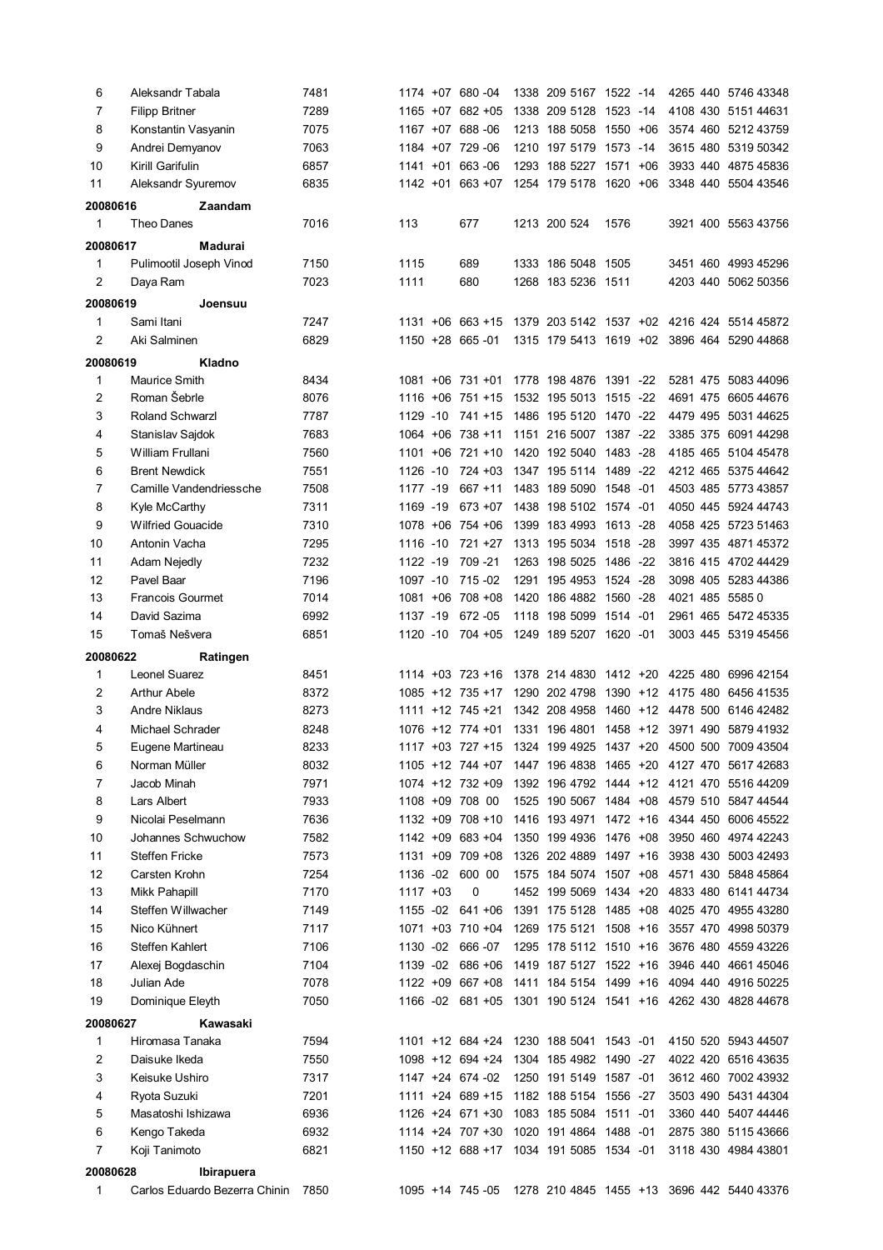| 6        | Aleksandr Tabala              | 7481 |             | 1174 +07 680 -04     |      | 1338 209 5167 1522 -14                  |      |       |  | 4265 440 5746 43348                                         |
|----------|-------------------------------|------|-------------|----------------------|------|-----------------------------------------|------|-------|--|-------------------------------------------------------------|
| 7        | <b>Filipp Britner</b>         | 7289 |             | 1165 +07 682 +05     |      | 1338 209 5128 1523 -14                  |      |       |  | 4108 430 5151 44631                                         |
| 8        | Konstantin Vasyanin           | 7075 |             | 1167 +07 688 -06     |      | 1213 188 5058 1550 +06                  |      |       |  | 3574 460 5212 43759                                         |
| 9        | Andrei Demyanov               | 7063 |             | 1184 +07 729 -06     |      | 1210 197 5179 1573 -14                  |      |       |  | 3615 480 5319 50342                                         |
| 10       | Kirill Garifulin              | 6857 |             | 1141 +01 663 -06     |      | 1293 188 5227 1571                      |      | $+06$ |  | 3933 440 4875 45836                                         |
| 11       | Aleksandr Syuremov            | 6835 |             | 1142 +01 663 +07     |      | 1254 179 5178 1620 +06                  |      |       |  | 3348 440 5504 43546                                         |
|          |                               |      |             |                      |      |                                         |      |       |  |                                                             |
| 20080616 | Zaandam                       |      |             |                      |      |                                         |      |       |  |                                                             |
| 1        | Theo Danes                    | 7016 | 113         | 677                  |      | 1213 200 524                            | 1576 |       |  | 3921 400 5563 43756                                         |
| 20080617 | Madurai                       |      |             |                      |      |                                         |      |       |  |                                                             |
| 1        | Pulimootil Joseph Vinod       | 7150 | 1115        | 689                  |      | 1333 186 5048 1505                      |      |       |  | 3451 460 4993 45296                                         |
| 2        | Daya Ram                      | 7023 | 1111        | 680                  |      | 1268 183 5236 1511                      |      |       |  | 4203 440 5062 50356                                         |
| 20080619 | Joensuu                       |      |             |                      |      |                                         |      |       |  |                                                             |
| 1        | Sami Itani                    | 7247 |             | $1131 + 06$ 663 + 15 |      |                                         |      |       |  | 1379 203 5142 1537 +02 4216 424 5514 45872                  |
| 2        | Aki Salminen                  | 6829 |             | 1150 +28 665 -01     |      |                                         |      |       |  | 1315 179 5413 1619 +02 3896 464 5290 44868                  |
|          |                               |      |             |                      |      |                                         |      |       |  |                                                             |
| 20080619 | Kladno                        |      |             |                      |      |                                         |      |       |  |                                                             |
| 1        | Maurice Smith                 | 8434 |             | $1081 + 06$ 731 + 01 |      | 1778 198 4876 1391 -22                  |      |       |  | 5281 475 5083 44096                                         |
| 2        | Roman Šebrle                  | 8076 |             | 1116 +06 751 +15     |      | 1532 195 5013 1515 -22                  |      |       |  | 4691 475 6605 44676                                         |
| 3        | Roland Schwarzl               | 7787 |             | 1129 -10 741 +15     |      | 1486 195 5120 1470 -22                  |      |       |  | 4479 495 5031 44625                                         |
| 4        | Stanislav Sajdok              | 7683 |             | 1064 +06 738 +11     |      | 1151 216 5007 1387 -22                  |      |       |  | 3385 375 6091 44298                                         |
| 5        | William Frullani              | 7560 |             | $1101 + 06$ 721 + 10 |      | 1420 192 5040 1483 -28                  |      |       |  | 4185 465 5104 45478                                         |
| 6        | <b>Brent Newdick</b>          | 7551 | 1126 -10    | $724 + 03$           |      | 1347 195 5114 1489 -22                  |      |       |  | 4212 465 5375 44642                                         |
| 7        | Camille Vandendriessche       | 7508 | 1177 -19    | $667 + 11$           |      | 1483 189 5090 1548 -01                  |      |       |  | 4503 485 5773 43857                                         |
| 8        | Kyle McCarthy                 | 7311 | 1169 -19    | $673 + 07$           |      | 1438 198 5102 1574 -01                  |      |       |  | 4050 445 5924 44743                                         |
| 9        | <b>Wilfried Gouacide</b>      | 7310 |             | 1078 +06 754 +06     |      | 1399 183 4993 1613 -28                  |      |       |  | 4058 425 5723 51463                                         |
| 10       | Antonin Vacha                 | 7295 | 1116 -10    | $721 + 27$           |      | 1313 195 5034 1518 -28                  |      |       |  | 3997 435 4871 45372                                         |
| 11       | Adam Nejedly                  | 7232 | 1122 -19    | 709 - 21             |      | 1263 198 5025 1486 -22                  |      |       |  | 3816 415 4702 44429                                         |
| 12       | Pavel Baar                    | 7196 | 1097 -10    | 715 - 02             | 1291 | 195 4953 1524 -28                       |      |       |  | 3098 405 5283 44386                                         |
| 13       | <b>Francois Gourmet</b>       | 7014 |             | 1081 +06 708 +08     |      | 1420 186 4882 1560 -28                  |      |       |  | 4021 485 5585 0                                             |
| 14       | David Sazima                  | 6992 | 1137 -19    | 672 - 05             |      | 1118 198 5099 1514 -01                  |      |       |  | 2961 465 5472 45335                                         |
| 15       | Tomaš Nešvera                 | 6851 | 1120 -10    | 704 +05              |      | 1249 189 5207 1620 -01                  |      |       |  | 3003 445 5319 45456                                         |
|          |                               |      |             |                      |      |                                         |      |       |  |                                                             |
| 20080622 | Ratingen                      |      |             |                      |      |                                         |      |       |  |                                                             |
| 1        | Leonel Suarez                 | 8451 |             | $1114 + 03$ 723 +16  |      | 1378 214 4830 1412 +20                  |      |       |  | 4225 480 6996 42154                                         |
|          |                               |      |             |                      |      |                                         |      |       |  |                                                             |
| 2        | <b>Arthur Abele</b>           | 8372 |             | 1085 +12 735 +17     |      | 1290 202 4798                           |      |       |  | 1390 +12 4175 480 6456 41535                                |
| 3        | <b>Andre Niklaus</b>          | 8273 |             | $1111 + 12$ 745 + 21 |      | 1342 208 4958                           |      |       |  | 1460 +12 4478 500 6146 42482                                |
| 4        | Michael Schrader              | 8248 |             | 1076 +12 774 +01     |      |                                         |      |       |  | 1331 196 4801 1458 +12 3971 490 5879 41932                  |
| 5        | Eugene Martineau              | 8233 |             |                      |      |                                         |      |       |  | 1117 +03 727 +15 1324 199 4925 1437 +20 4500 500 7009 43504 |
| 6        | Norman Müller                 | 8032 |             | 1105 +12 744 +07     |      |                                         |      |       |  | 1447 196 4838 1465 +20 4127 470 5617 42683                  |
| 7        | Jacob Minah                   | 7971 |             | 1074 +12 732 +09     |      |                                         |      |       |  | 1392 196 4792 1444 +12 4121 470 5516 44209                  |
| 8        | Lars Albert                   | 7933 |             | 1108 +09 708 00      |      | 1525 190 5067 1484 +08                  |      |       |  | 4579 510 5847 44544                                         |
| 9        | Nicolai Peselmann             | 7636 |             | 1132 +09 708 +10     |      | 1416 193 4971 1472 +16                  |      |       |  | 4344 450 6006 45522                                         |
| 10       | Johannes Schwuchow            | 7582 |             | 1142 +09 683 +04     |      | 1350 199 4936 1476 +08                  |      |       |  | 3950 460 4974 42243                                         |
| 11       | <b>Steffen Fricke</b>         | 7573 |             | 1131 +09 709 +08     |      | 1326 202 4889 1497 +16                  |      |       |  | 3938 430 5003 42493                                         |
| 12       | Carsten Krohn                 | 7254 | 1136 -02    | 600 00               |      | 1575 184 5074 1507 +08                  |      |       |  | 4571 430 5848 45864                                         |
| 13       | Mikk Pahapill                 | 7170 | $1117 + 03$ | 0                    |      | 1452 199 5069 1434 +20                  |      |       |  | 4833 480 6141 44734                                         |
| 14       | Steffen Willwacher            | 7149 |             | 1155 -02 641 +06     |      | 1391 175 5128 1485 +08                  |      |       |  | 4025 470 4955 43280                                         |
| 15       | Nico Kühnert                  | 7117 |             | 1071 +03 710 +04     |      | 1269 175 5121 1508 +16                  |      |       |  | 3557 470 4998 50379                                         |
|          |                               |      |             |                      |      |                                         |      |       |  |                                                             |
| 16       | Steffen Kahlert               | 7106 |             | 1130 -02 666 -07     |      | 1295 178 5112 1510 +16                  |      |       |  | 3676 480 4559 43226                                         |
| 17       | Alexej Bogdaschin             | 7104 | 1139 -02    | 686 +06              |      | 1419 187 5127 1522 +16                  |      |       |  | 3946 440 4661 45046                                         |
| 18       | Julian Ade                    | 7078 |             | $1122 + 09667 + 08$  |      |                                         |      |       |  | 1411 184 5154 1499 +16 4094 440 4916 50225                  |
| 19       | Dominique Eleyth              | 7050 |             | 1166 -02 681 +05     |      |                                         |      |       |  | 1301 190 5124 1541 +16 4262 430 4828 44678                  |
| 20080627 | Kawasaki                      |      |             |                      |      |                                         |      |       |  |                                                             |
| 1        | Hiromasa Tanaka               | 7594 |             | 1101 +12 684 +24     |      | 1230 188 5041 1543 -01                  |      |       |  | 4150 520 5943 44507                                         |
| 2        | Daisuke Ikeda                 | 7550 |             | 1098 +12 694 +24     |      | 1304 185 4982 1490 -27                  |      |       |  | 4022 420 6516 43635                                         |
| 3        | Keisuke Ushiro                | 7317 |             | 1147 +24 674 -02     |      | 1250 191 5149 1587 -01                  |      |       |  | 3612 460 7002 43932                                         |
| 4        | Ryota Suzuki                  | 7201 |             | 1111 +24 689 +15     |      | 1182 188 5154 1556 -27                  |      |       |  | 3503 490 5431 44304                                         |
| 5        | Masatoshi Ishizawa            | 6936 |             | $1126 + 24 671 + 30$ |      | 1083 185 5084 1511 -01                  |      |       |  | 3360 440 5407 44446                                         |
| 6        | Kengo Takeda                  | 6932 |             | 1114 +24 707 +30     |      | 1020 191 4864 1488 -01                  |      |       |  | 2875 380 5115 43666                                         |
| 7        | Koji Tanimoto                 | 6821 |             |                      |      | 1150 +12 688 +17 1034 191 5085 1534 -01 |      |       |  | 3118 430 4984 43801                                         |
| 20080628 | Ibirapuera                    |      |             |                      |      |                                         |      |       |  |                                                             |
| 1        | Carlos Eduardo Bezerra Chinin | 7850 |             | 1095 +14 745 -05     |      |                                         |      |       |  | 1278 210 4845 1455 +13 3696 442 5440 43376                  |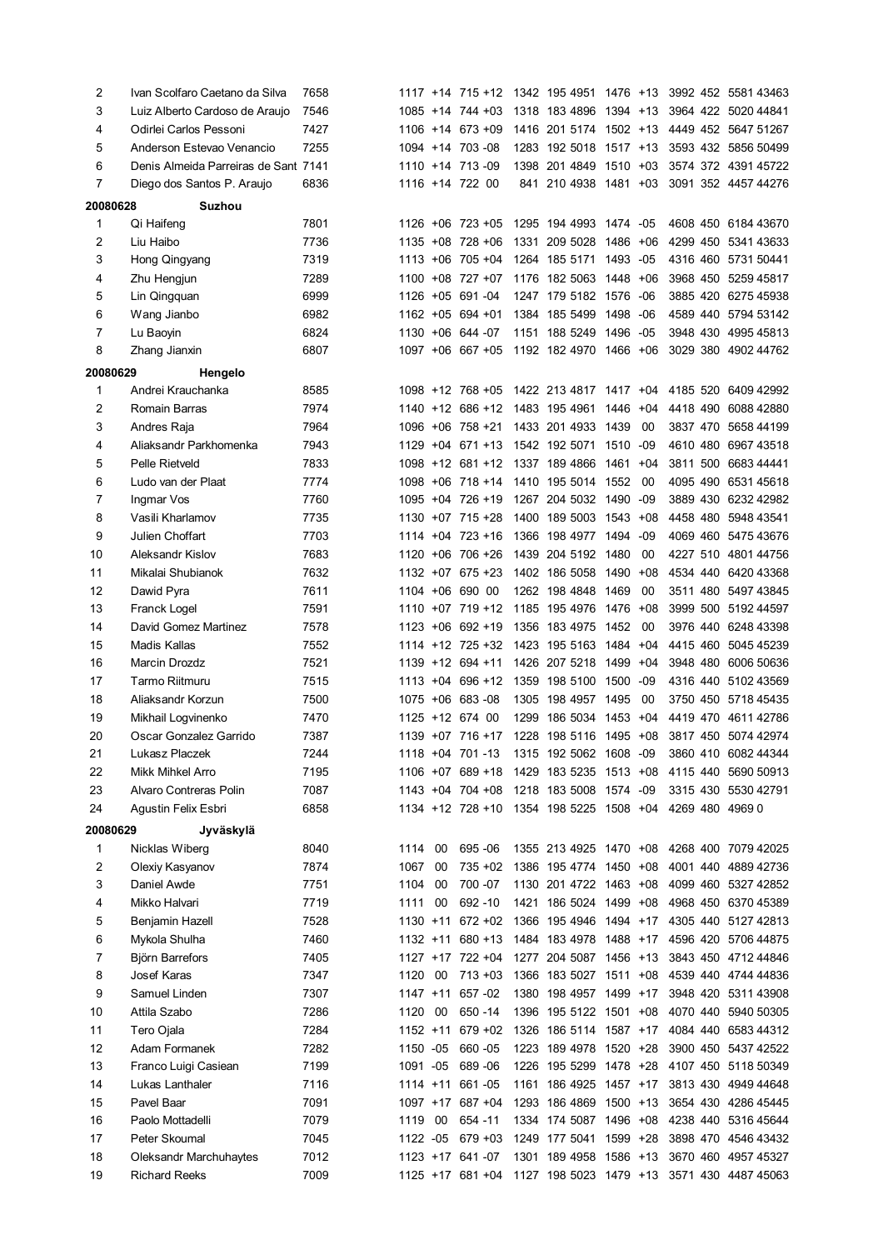| 2        | Ivan Scolfaro Caetano da Silva       | 7658 |             |     | 1117 +14 715 +12 |      | 1342 195 4951 1476 +13                  |          |       |  | 3992 452 5581 43463                                         |
|----------|--------------------------------------|------|-------------|-----|------------------|------|-----------------------------------------|----------|-------|--|-------------------------------------------------------------|
| 3        | Luiz Alberto Cardoso de Araujo       | 7546 |             |     | 1085 +14 744 +03 |      | 1318 183 4896 1394 +13                  |          |       |  | 3964 422 5020 44841                                         |
| 4        | Odirlei Carlos Pessoni               | 7427 |             |     | 1106 +14 673 +09 |      | 1416 201 5174 1502 +13                  |          |       |  | 4449 452 5647 51267                                         |
| 5        | Anderson Estevao Venancio            | 7255 |             |     | 1094 +14 703 -08 |      | 1283 192 5018 1517 +13                  |          |       |  | 3593 432 5856 50499                                         |
| 6        | Denis Almeida Parreiras de Sant 7141 |      |             |     | 1110 +14 713 -09 |      | 1398 201 4849 1510 +03                  |          |       |  | 3574 372 4391 45722                                         |
| 7        | Diego dos Santos P. Araujo           | 6836 |             |     | 1116 +14 722 00  |      | 841 210 4938 1481 +03                   |          |       |  | 3091 352 4457 44276                                         |
| 20080628 | <b>Suzhou</b>                        |      |             |     |                  |      |                                         |          |       |  |                                                             |
| 1        | Qi Haifeng                           | 7801 |             |     | 1126 +06 723 +05 |      | 1295 194 4993 1474 -05                  |          |       |  | 4608 450 6184 43670                                         |
| 2        | Liu Haibo                            | 7736 |             |     | 1135 +08 728 +06 | 1331 | 209 5028                                | 1486     | $+06$ |  | 4299 450 5341 43633                                         |
| 3        | Hong Qingyang                        | 7319 |             |     | 1113 +06 705 +04 |      | 1264 185 5171                           | 1493 -05 |       |  | 4316 460 5731 50441                                         |
| 4        | Zhu Hengjun                          | 7289 | 1100        |     | $+08$ 727 $+07$  |      | 1176 182 5063                           | 1448 +06 |       |  | 3968 450 5259 45817                                         |
| 5        | Lin Qingquan                         | 6999 | 1126        |     | $+05$ 691-04     |      | 1247 179 5182 1576                      |          | -06   |  | 3885 420 6275 45938                                         |
| 6        | Wang Jianbo                          | 6982 |             |     | 1162 +05 694 +01 |      | 1384 185 5499                           | 1498     | -06   |  | 4589 440 5794 53142                                         |
| 7        | Lu Baoyin                            | 6824 |             |     | 1130 +06 644 -07 |      | 1151 188 5249                           | 1496     | -05   |  | 3948 430 4995 45813                                         |
| 8        | Zhang Jianxin                        | 6807 |             |     | 1097 +06 667 +05 |      | 1192 182 4970 1466 +06                  |          |       |  | 3029 380 4902 44762                                         |
| 20080629 | Hengelo                              |      |             |     |                  |      |                                         |          |       |  |                                                             |
| 1        | Andrei Krauchanka                    | 8585 |             |     | 1098 +12 768 +05 |      | 1422 213 4817 1417 +04                  |          |       |  | 4185 520 6409 42992                                         |
| 2        | Romain Barras                        | 7974 |             |     | 1140 +12 686 +12 |      | 1483 195 4961 1446                      |          | +04   |  | 4418 490 6088 42880                                         |
| 3        | Andres Raja                          | 7964 |             |     | 1096 +06 758 +21 |      | 1433 201 4933 1439                      |          | 00    |  | 3837 470 5658 44199                                         |
| 4        | Aliaksandr Parkhomenka               | 7943 |             |     | 1129 +04 671 +13 |      | 1542 192 5071                           | 1510     | -09   |  | 4610 480 6967 43518                                         |
| 5        | Pelle Rietveld                       | 7833 |             |     | 1098 +12 681 +12 |      | 1337 189 4866                           | 1461     | $+04$ |  | 3811 500 6683 44441                                         |
| 6        | Ludo van der Plaat                   | 7774 |             |     | 1098 +06 718 +14 |      | 1410 195 5014                           | 1552     | 00    |  | 4095 490 6531 45618                                         |
| 7        | Ingmar Vos                           | 7760 |             |     | 1095 +04 726 +19 |      | 1267 204 5032 1490                      |          | -09   |  | 3889 430 6232 42982                                         |
| 8        | Vasili Kharlamov                     | 7735 |             |     | 1130 +07 715 +28 |      | 1400 189 5003                           | 1543     | $+08$ |  | 4458 480 5948 43541                                         |
| 9        | Julien Choffart                      | 7703 |             |     | 1114 +04 723 +16 |      | 1366 198 4977                           | 1494     | -09   |  | 4069 460 5475 43676                                         |
| 10       | <b>Aleksandr Kislov</b>              | 7683 | 1120        |     | $+06$ 706 $+26$  |      | 1439 204 5192                           | 1480     | 00    |  | 4227 510 4801 44756                                         |
| 11       | Mikalai Shubianok                    | 7632 |             |     | 1132 +07 675 +23 |      | 1402 186 5058                           | 1490     | $+08$ |  | 4534 440 6420 43368                                         |
| 12       | Dawid Pyra                           | 7611 |             |     | 1104 +06 690 00  |      | 1262 198 4848                           | 1469     | 00    |  | 3511 480 5497 43845                                         |
| 13       | Franck Logel                         | 7591 |             |     | 1110 +07 719 +12 |      | 1185 195 4976                           | 1476     | $+08$ |  | 3999 500 5192 44597                                         |
| 14       | David Gomez Martinez                 | 7578 |             |     | 1123 +06 692 +19 |      | 1356 183 4975                           | 1452     | 00    |  | 3976 440 6248 43398                                         |
| 15       | Madis Kallas                         | 7552 |             |     | 1114 +12 725 +32 |      | 1423 195 5163                           | 1484     | $+04$ |  | 4415 460 5045 45239                                         |
| 16       | Marcin Drozdz                        | 7521 |             |     | 1139 +12 694 +11 |      | 1426 207 5218                           | 1499     | $+04$ |  | 3948 480 6006 50636                                         |
| 17       | Tarmo Riitmuru                       | 7515 |             |     | 1113 +04 696 +12 |      | 1359 198 5100                           | 1500     | -09   |  | 4316 440 5102 43569                                         |
| 18       | Aliaksandr Korzun                    | 7500 |             |     | 1075 +06 683 -08 |      | 1305 198 4957 1495                      |          | 00    |  | 3750 450 5718 45435                                         |
| 19       | Mikhail Logvinenko                   | 7470 |             |     | 1125 +12 674 00  |      | 1299 186 5034 1453                      |          | $+04$ |  | 4419 470 4611 42786                                         |
| 20       | Oscar Gonzalez Garrido               | 7387 |             |     |                  |      | 1139 +07 716 +17 1228 198 5116 1495 +08 |          |       |  | 3817 450 5074 42974                                         |
| 21       | Lukasz Placzek                       | 7244 | 1118        | +04 | 701 - 13         |      | 1315 192 5062 1608 -09                  |          |       |  | 3860 410 6082 44344                                         |
| 22       | Mikk Mihkel Arro                     | 7195 |             |     | 1106 +07 689 +18 |      | 1429 183 5235 1513 +08                  |          |       |  | 4115 440 5690 50913                                         |
| 23       | Alvaro Contreras Polin               | 7087 |             |     | 1143 +04 704 +08 |      | 1218 183 5008 1574 -09                  |          |       |  | 3315 430 5530 42791                                         |
| 24       | Agustin Felix Esbri                  | 6858 |             |     | 1134 +12 728 +10 |      | 1354 198 5225 1508 +04                  |          |       |  | 4269 480 4969 0                                             |
| 20080629 | Jyväskylä                            |      |             |     |                  |      |                                         |          |       |  |                                                             |
| 1        | Nicklas Wiberg                       | 8040 | 1114        | 00  | 695 - 06         |      | 1355 213 4925 1470 +08                  |          |       |  | 4268 400 7079 42025                                         |
| 2        | Olexiy Kasyanov                      | 7874 | 1067        | 00  | 735 +02          |      | 1386 195 4774 1450 +08                  |          |       |  | 4001 440 4889 42736                                         |
| 3        | Daniel Awde                          | 7751 | 1104        | 00  | 700 - 07         |      | 1130 201 4722 1463 +08                  |          |       |  | 4099 460 5327 42852                                         |
| 4        | Mikko Halvari                        | 7719 | 1111        | 00  | 692 - 10         |      | 1421 186 5024 1499 +08                  |          |       |  | 4968 450 6370 45389                                         |
| 5        | Benjamin Hazell                      | 7528 | $1130 + 11$ |     | $672 + 02$       |      | 1366 195 4946 1494 +17                  |          |       |  | 4305 440 5127 42813                                         |
| 6        | Mykola Shulha                        | 7460 | 1132 +11    |     | $680 + 13$       |      | 1484 183 4978 1488 +17                  |          |       |  | 4596 420 5706 44875                                         |
| 7        | <b>Björn Barrefors</b>               | 7405 |             |     | 1127 +17 722 +04 |      | 1277 204 5087 1456 +13                  |          |       |  | 3843 450 4712 44846                                         |
| 8        | Josef Karas                          | 7347 | 1120        | 00  | $713 + 03$       |      | 1366 183 5027 1511 +08                  |          |       |  | 4539 440 4744 44836                                         |
| 9        | Samuel Linden                        | 7307 | 1147 +11    |     | 657 - 02         |      | 1380 198 4957 1499 +17                  |          |       |  | 3948 420 5311 43908                                         |
| 10       | Attila Szabo                         | 7286 | 1120        | 00  | 650 - 14         |      | 1396 195 5122 1501 +08                  |          |       |  | 4070 440 5940 50305                                         |
| 11       | Tero Ojala                           | 7284 | 1152 +11    |     | $679 + 02$       |      | 1326 186 5114 1587 +17                  |          |       |  | 4084 440 6583 44312                                         |
| 12       | Adam Formanek                        | 7282 | 1150 -05    |     | 660 - 05         |      | 1223 189 4978 1520 +28                  |          |       |  | 3900 450 5437 42522                                         |
| 13       | Franco Luigi Casiean                 | 7199 | 1091 -05    |     | 689 - 06         |      | 1226 195 5299 1478 +28                  |          |       |  | 4107 450 5118 50349                                         |
| 14       | Lukas Lanthaler                      | 7116 | 1114 +11    |     | 661 - 05         |      | 1161 186 4925 1457 +17                  |          |       |  | 3813 430 4949 44648                                         |
| 15       | Pavel Baar                           | 7091 | 1097 +17    |     | 687 + 04         |      | 1293 186 4869 1500 +13                  |          |       |  | 3654 430 4286 45445                                         |
| 16       | Paolo Mottadelli                     | 7079 | 1119        | 00  | 654 - 11         |      | 1334 174 5087 1496 +08                  |          |       |  | 4238 440 5316 45644                                         |
| 17       | Peter Skoumal                        | 7045 | 1122 -05    |     | $679 + 03$       |      | 1249 177 5041 1599 +28                  |          |       |  | 3898 470 4546 43432                                         |
| 18       | Oleksandr Marchuhaytes               | 7012 |             |     | 1123 +17 641 -07 |      | 1301 189 4958 1586 +13                  |          |       |  | 3670 460 4957 45327                                         |
| 19       | <b>Richard Reeks</b>                 | 7009 |             |     |                  |      |                                         |          |       |  | 1125 +17 681 +04 1127 198 5023 1479 +13 3571 430 4487 45063 |